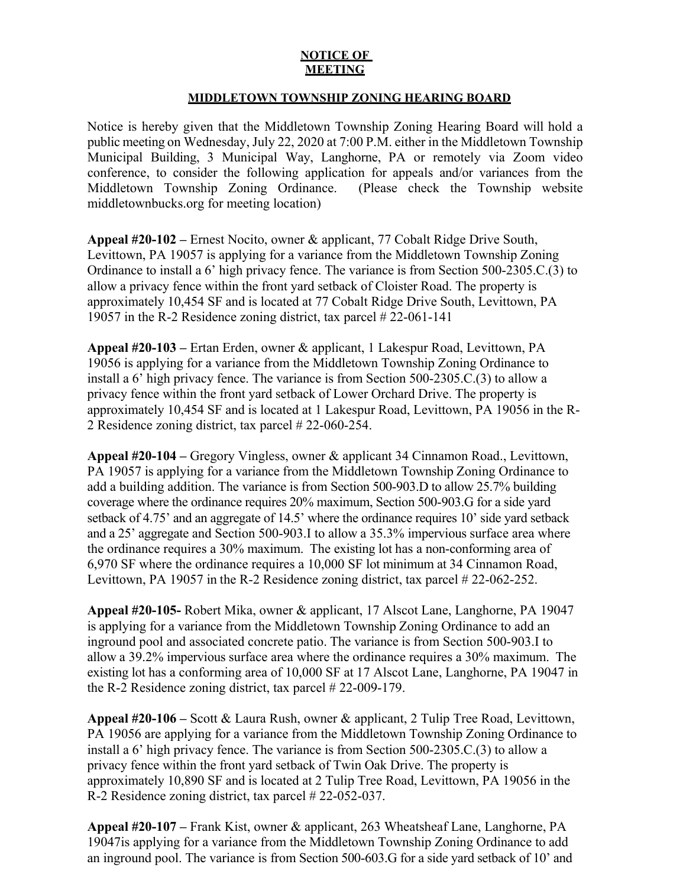## **NOTICE OF MEETING**

## **MIDDLETOWN TOWNSHIP ZONING HEARING BOARD**

Notice is hereby given that the Middletown Township Zoning Hearing Board will hold a public meeting on Wednesday, July 22, 2020 at 7:00 P.M. either in the Middletown Township Municipal Building, 3 Municipal Way, Langhorne, PA or remotely via Zoom video conference, to consider the following application for appeals and/or variances from the Middletown Township Zoning Ordinance. (Please check the Township website middletownbucks.org for meeting location)

**Appeal #20-102 –** Ernest Nocito, owner & applicant, 77 Cobalt Ridge Drive South, Levittown, PA 19057 is applying for a variance from the Middletown Township Zoning Ordinance to install a 6' high privacy fence. The variance is from Section 500-2305.C.(3) to allow a privacy fence within the front yard setback of Cloister Road. The property is approximately 10,454 SF and is located at 77 Cobalt Ridge Drive South, Levittown, PA 19057 in the R-2 Residence zoning district, tax parcel # 22-061-141

**Appeal #20-103 –** Ertan Erden, owner & applicant, 1 Lakespur Road, Levittown, PA 19056 is applying for a variance from the Middletown Township Zoning Ordinance to install a 6' high privacy fence. The variance is from Section 500-2305.C.(3) to allow a privacy fence within the front yard setback of Lower Orchard Drive. The property is approximately 10,454 SF and is located at 1 Lakespur Road, Levittown, PA 19056 in the R-2 Residence zoning district, tax parcel # 22-060-254.

**Appeal #20-104 –** Gregory Vingless, owner & applicant 34 Cinnamon Road., Levittown, PA 19057 is applying for a variance from the Middletown Township Zoning Ordinance to add a building addition. The variance is from Section 500-903.D to allow 25.7% building coverage where the ordinance requires 20% maximum, Section 500-903.G for a side yard setback of 4.75' and an aggregate of 14.5' where the ordinance requires 10' side yard setback and a 25' aggregate and Section 500-903.I to allow a 35.3% impervious surface area where the ordinance requires a 30% maximum. The existing lot has a non-conforming area of 6,970 SF where the ordinance requires a 10,000 SF lot minimum at 34 Cinnamon Road, Levittown, PA 19057 in the R-2 Residence zoning district, tax parcel # 22-062-252.

**Appeal #20-105-** Robert Mika, owner & applicant, 17 Alscot Lane, Langhorne, PA 19047 is applying for a variance from the Middletown Township Zoning Ordinance to add an inground pool and associated concrete patio. The variance is from Section 500-903.I to allow a 39.2% impervious surface area where the ordinance requires a 30% maximum. The existing lot has a conforming area of 10,000 SF at 17 Alscot Lane, Langhorne, PA 19047 in the R-2 Residence zoning district, tax parcel # 22-009-179.

**Appeal #20-106 –** Scott & Laura Rush, owner & applicant, 2 Tulip Tree Road, Levittown, PA 19056 are applying for a variance from the Middletown Township Zoning Ordinance to install a 6' high privacy fence. The variance is from Section 500-2305.C.(3) to allow a privacy fence within the front yard setback of Twin Oak Drive. The property is approximately 10,890 SF and is located at 2 Tulip Tree Road, Levittown, PA 19056 in the R-2 Residence zoning district, tax parcel # 22-052-037.

**Appeal #20-107 –** Frank Kist, owner & applicant, 263 Wheatsheaf Lane, Langhorne, PA 19047is applying for a variance from the Middletown Township Zoning Ordinance to add an inground pool. The variance is from Section 500-603.G for a side yard setback of 10' and